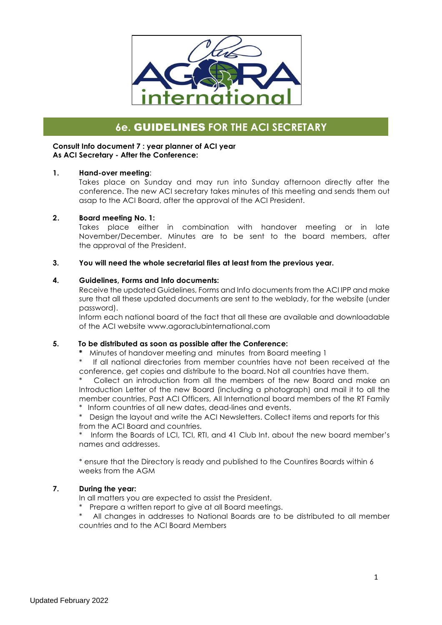

# **6e.** GUIDELINES **FOR THE ACI SECRETARY**

#### **Consult Info document 7 : year planner of ACI year As ACI Secretary - After the Conference:**

#### **1. Hand-over meeting**:

Takes place on Sunday and may run into Sunday afternoon directly after the conference. The new ACI secretary takes minutes of this meeting and sends them out asap to the ACI Board, after the approval of the ACI President.

#### **2. Board meeting No. 1:**

Takes place either in combination with handover meeting or in late November/December. Minutes are to be sent to the board members, after the approval of the President.

#### **3. You will need the whole secretarial files at least from the previous year.**

#### **4. Guidelines, Forms and Info documents:**

Receive the updated Guidelines, Forms and Info documents from the ACI IPP and make sure that all these updated documents are sent to the weblady, for the website (under password).

Inform each national board of the fact that all these are available and downloadable of the ACI website www.agoraclubinternational.com

#### **5. To be distributed as soon as possible after the Conference:**

**\*** Minutes of handover meeting and minutes from Board meeting 1

If all national directories from member countries have not been received at the conference, get copies and distribute to the board. Not all countries have them.

Collect an introduction from all the members of the new Board and make an Introduction Letter of the new Board (including a photograph) and mail it to all the member countries, Past ACI Officers, All International board members of the RT Family \* Inform countries of all new dates, dead-lines and events.

\* Design the layout and write the ACI Newsletters. Collect items and reports for this from the ACI Board and countries.

\* Inform the Boards of LCI, TCI, RTI, and 41 Club Int. about the new board member's names and addresses.

\* ensure that the Directory is ready and published to the Countires Boards within 6 weeks from the AGM

### **7. During the year:**

In all matters you are expected to assist the President.

\* Prepare a written report to give at all Board meetings.

All changes in addresses to National Boards are to be distributed to all member countries and to the ACI Board Members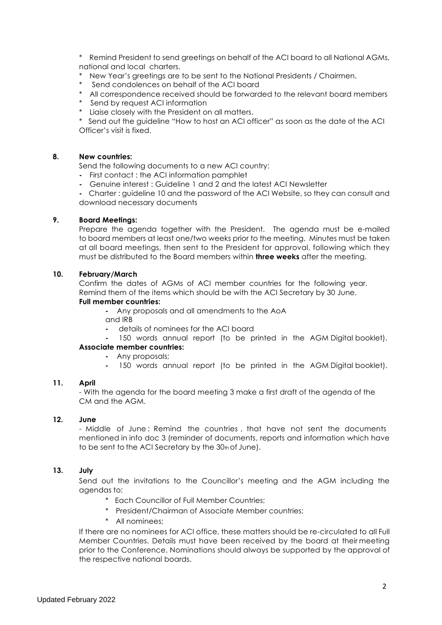Remind President to send greetings on behalf of the ACI board to all National AGMs, national and local charters.

- New Year's greetings are to be sent to the National Presidents / Chairmen.
- Send condolences on behalf of the ACI board
- \* All correspondence received should be forwarded to the relevant board members
- \* Send by request ACI information
- \* Liaise closely with the President on all matters.

\* Send out the guideline "How to host an ACI officer" as soon as the date of the ACI Officer's visit is fixed.

#### **8. New countries:**

Send the following documents to a new ACI country:

- **-** First contact : the ACI information pamphlet
- **-** Genuine interest : Guideline 1 and 2 and the latest ACI Newsletter
- **-** Charter : guideline 10 and the password of the ACI Website, so they can consult and download necessary documents

# **9. Board Meetings:**

Prepare the agenda together with the President. The agenda must be e-mailed to board members at least one/two weeks prior to the meeting. Minutes must be taken at all board meetings, then sent to the President for approval, following which they must be distributed to the Board members within **three weeks** after the meeting.

#### **10. February/March**

Confirm the dates of AGMs of ACI member countries for the following year. Remind them of the items which should be with the ACI Secretary by 30 June.

#### **Full member countries:**

**-** Any proposals and all amendments to the AoA

- and IRB
- **-** details of nominees for the ACI board
- **-** 150 words annual report (to be printed in the AGM Digital booklet).

#### **Associate member countries:**

- **-** Any proposals;
- **-** 150 words annual report (to be printed in the AGM Digital booklet).

#### **11. April**

- With the agenda for the board meeting 3 make a first draft of the agenda of the CM and the AGM.

#### **12. June**

- Middle of June : Remind the countries , that have not sent the documents mentioned in info doc 3 (reminder of documents, reports and information which have to be sent to the ACI Secretary by the 30th of June).

#### **13. July**

Send out the invitations to the Councillor's meeting and the AGM including the agendas to:

- \* Each Councillor of Full Member Countries;
- \* President/Chairman of Associate Member countries;
- All nominees:

If there are no nominees for ACI office, these matters should be re-circulated to all Full Member Countries. Details must have been received by the board at their meeting prior to the Conference. Nominations should always be supported by the approval of the respective national boards.